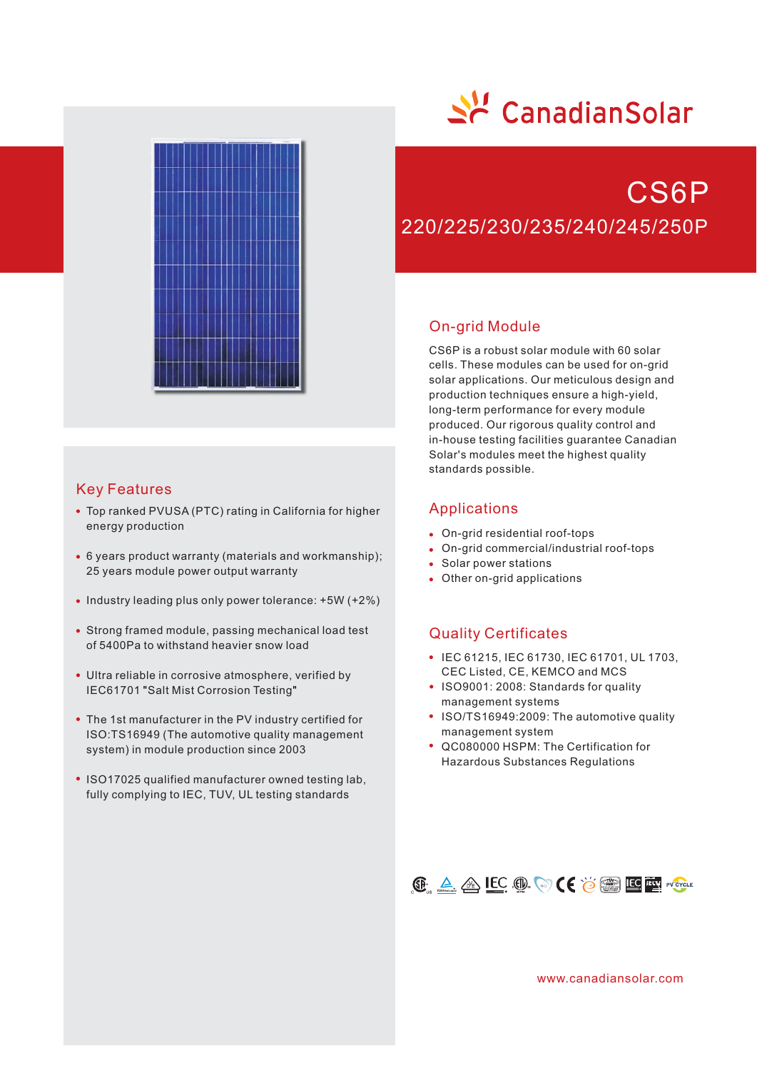

## Key Features

- Top ranked PVUSA (PTC) rating in California for higher energy production
- 6 years product warranty (materials and workmanship); 25 years module power output warranty
- $\bullet$  Industry leading plus only power tolerance:  $+5W (+2\%)$
- Strong framed module, passing mechanical load test of 5400Pa to withstand heavier snow load
- Ultra reliable in corrosive atmosphere, verified by IEC61701 "Salt Mist Corrosion Testing"
- The 1st manufacturer in the PV industry certified for ISO:TS16949 (The automotive quality management system) in module production since 2003
- ISO17025 qualified manufacturer owned testing lab, fully complying to IEC, TUV, UL testing standards

# 소년 CanadianSolar

## CS6P 220/225/230/235/240/245/250P

## On-grid Module

CS6P is a robust solar module with 60 solar cells. These modules can be used for on-grid solar applications. Our meticulous design and production techniques ensure a high-yield, long-term performance for every module produced. Our rigorous quality control and in-house testing facilities guarantee Canadian Solar's modules meet the highest quality standards possible.

## Applications

- On-grid residential roof-tops
- On-grid commercial/industrial roof-tops
- Solar power stations
- Other on-grid applications

## Quality Certificates

- IEC 61215, IEC 61730, IEC 61701, UL 1703, CEC Listed, CE, KEMCO and MCS
- ISO9001: 2008: Standards for quality management systems
- ISO/TS16949:2009: The automotive quality management system
- QC080000 HSPM: The Certification for Hazardous Substances Regulations



www.canadiansolar.com